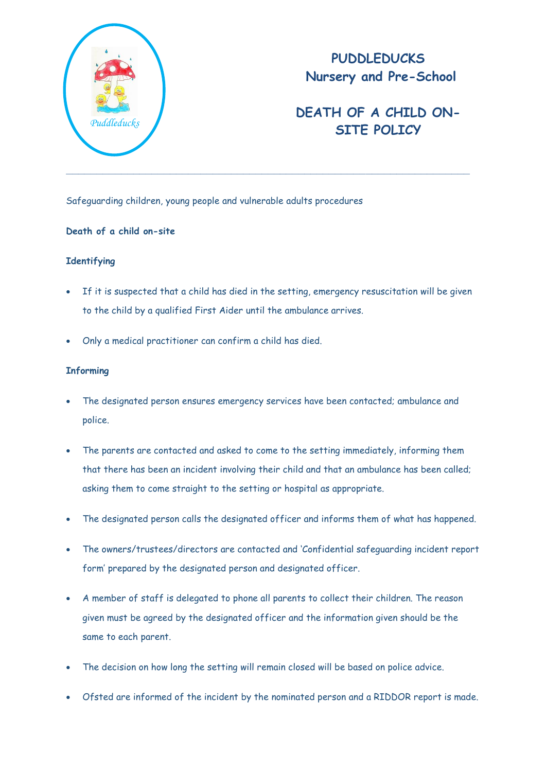

## **PUDDLEDUCKS Nursery and Pre-School**

# **DEATH OF A CHILD ON-SITE POLICY** *Puddleducks*

Safeguarding children, young people and vulnerable adults procedures

### **Death of a child on-site**

### **Identifying**

- If it is suspected that a child has died in the setting, emergency resuscitation will be given to the child by a qualified First Aider until the ambulance arrives.
- Only a medical practitioner can confirm a child has died.

#### **Informing**

- The designated person ensures emergency services have been contacted; ambulance and police.
- The parents are contacted and asked to come to the setting immediately, informing them that there has been an incident involving their child and that an ambulance has been called; asking them to come straight to the setting or hospital as appropriate.
- The designated person calls the designated officer and informs them of what has happened.
- The owners/trustees/directors are contacted and 'Confidential safeguarding incident report form' prepared by the designated person and designated officer.
- A member of staff is delegated to phone all parents to collect their children. The reason given must be agreed by the designated officer and the information given should be the same to each parent.
- The decision on how long the setting will remain closed will be based on police advice.
- Ofsted are informed of the incident by the nominated person and a RIDDOR report is made.